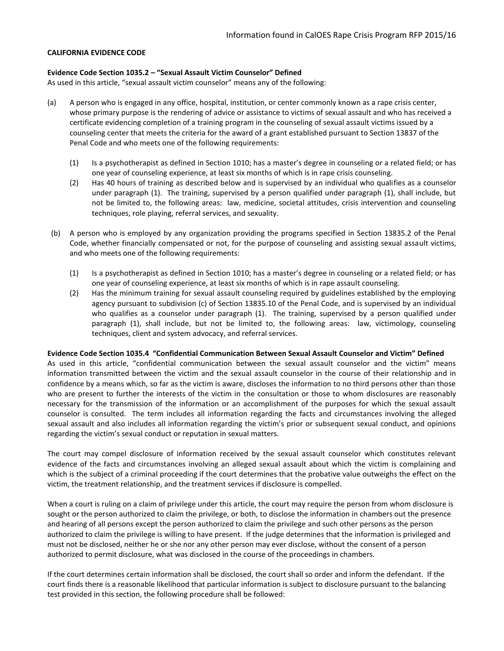#### **CALIFORNIA EVIDENCE CODE**

#### **Evidence Code Section 1035.2 – "Sexual Assault Victim Counselor" Defined**

As used in this article, "sexual assault victim counselor" means any of the following:

- (a) A person who is engaged in any office, hospital, institution, or center commonly known as a rape crisis center, whose primary purpose is the rendering of advice or assistance to victims of sexual assault and who has received a certificate evidencing completion of a training program in the counseling of sexual assault victims issued by a counseling center that meets the criteria for the award of a grant established pursuant to Section 13837 of the Penal Code and who meets one of the following requirements:
	- (1) Is a psychotherapist as defined in Section 1010; has a master's degree in counseling or a related field; or has one year of counseling experience, at least six months of which is in rape crisis counseling.
	- (2) Has 40 hours of training as described below and is supervised by an individual who qualifies as a counselor under paragraph (1). The training, supervised by a person qualified under paragraph (1), shall include, but not be limited to, the following areas: law, medicine, societal attitudes, crisis intervention and counseling techniques, role playing, referral services, and sexuality.
- (b) A person who is employed by any organization providing the programs specified in Section 13835.2 of the Penal Code, whether financially compensated or not, for the purpose of counseling and assisting sexual assault victims, and who meets one of the following requirements:
	- (1) Is a psychotherapist as defined in Section 1010; has a master's degree in counseling or a related field; or has one year of counseling experience, at least six months of which is in rape assault counseling.
	- (2) Has the minimum training for sexual assault counseling required by guidelines established by the employing agency pursuant to subdivision (c) of Section 13835.10 of the Penal Code, and is supervised by an individual who qualifies as a counselor under paragraph (1). The training, supervised by a person qualified under paragraph (1), shall include, but not be limited to, the following areas: law, victimology, counseling techniques, client and system advocacy, and referral services.

#### **Evidence Code Section 1035.4 "Confidential Communication Between Sexual Assault Counselor and Victim" Defined**

As used in this article, "confidential communication between the sexual assault counselor and the victim" means information transmitted between the victim and the sexual assault counselor in the course of their relationship and in confidence by a means which, so far as the victim is aware, discloses the information to no third persons other than those who are present to further the interests of the victim in the consultation or those to whom disclosures are reasonably necessary for the transmission of the information or an accomplishment of the purposes for which the sexual assault counselor is consulted. The term includes all information regarding the facts and circumstances involving the alleged sexual assault and also includes all information regarding the victim's prior or subsequent sexual conduct, and opinions regarding the victim's sexual conduct or reputation in sexual matters.

The court may compel disclosure of information received by the sexual assault counselor which constitutes relevant evidence of the facts and circumstances involving an alleged sexual assault about which the victim is complaining and which is the subject of a criminal proceeding if the court determines that the probative value outweighs the effect on the victim, the treatment relationship, and the treatment services if disclosure is compelled.

When a court is ruling on a claim of privilege under this article, the court may require the person from whom disclosure is sought or the person authorized to claim the privilege, or both, to disclose the information in chambers out the presence and hearing of all persons except the person authorized to claim the privilege and such other persons as the person authorized to claim the privilege is willing to have present. If the judge determines that the information is privileged and must not be disclosed, neither he or she nor any other person may ever disclose, without the consent of a person authorized to permit disclosure, what was disclosed in the course of the proceedings in chambers.

If the court determines certain information shall be disclosed, the court shall so order and inform the defendant. If the court finds there is a reasonable likelihood that particular information is subject to disclosure pursuant to the balancing test provided in this section, the following procedure shall be followed: